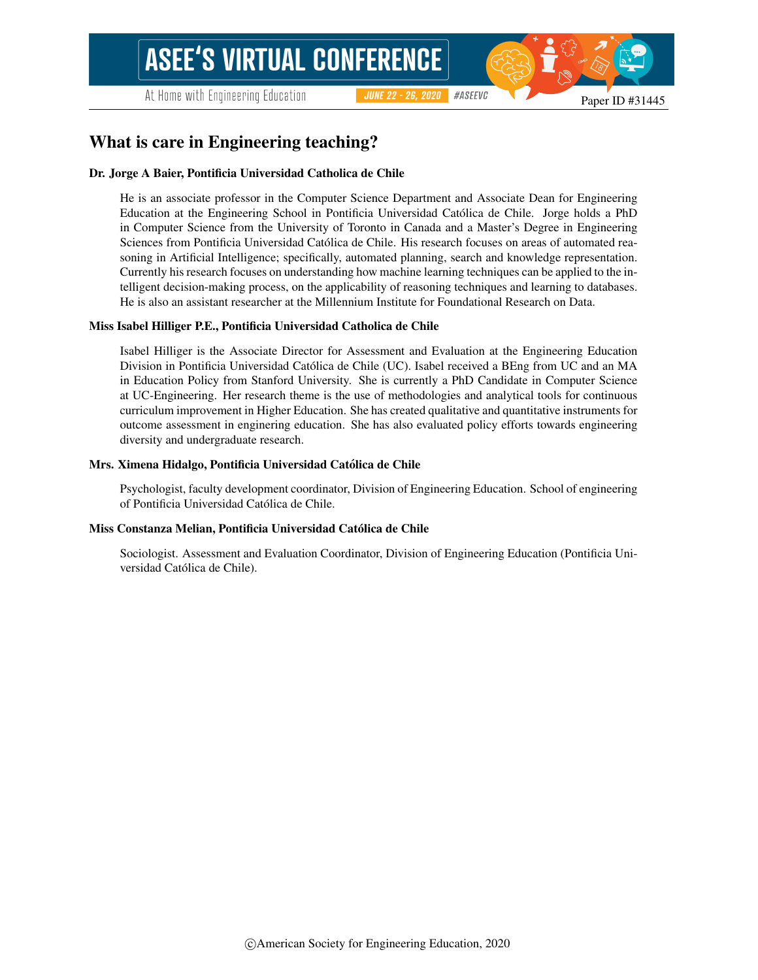# What is care in Engineering teaching?

### Dr. Jorge A Baier, Pontificia Universidad Catholica de Chile

He is an associate professor in the Computer Science Department and Associate Dean for Engineering Education at the Engineering School in Pontificia Universidad Catolica de Chile. Jorge holds a PhD ´ in Computer Science from the University of Toronto in Canada and a Master's Degree in Engineering Sciences from Pontificia Universidad Catolica de Chile. His research focuses on areas of automated rea- ´ soning in Artificial Intelligence; specifically, automated planning, search and knowledge representation. Currently his research focuses on understanding how machine learning techniques can be applied to the intelligent decision-making process, on the applicability of reasoning techniques and learning to databases. He is also an assistant researcher at the Millennium Institute for Foundational Research on Data.

#### Miss Isabel Hilliger P.E., Pontificia Universidad Catholica de Chile

Isabel Hilliger is the Associate Director for Assessment and Evaluation at the Engineering Education Division in Pontificia Universidad Catolica de Chile (UC). Isabel received a BEng from UC and an MA ´ in Education Policy from Stanford University. She is currently a PhD Candidate in Computer Science at UC-Engineering. Her research theme is the use of methodologies and analytical tools for continuous curriculum improvement in Higher Education. She has created qualitative and quantitative instruments for outcome assessment in enginering education. She has also evaluated policy efforts towards engineering diversity and undergraduate research.

#### Mrs. Ximena Hidalgo, Pontificia Universidad Catolica de Chile ´

Psychologist, faculty development coordinator, Division of Engineering Education. School of engineering of Pontificia Universidad Católica de Chile.

#### Miss Constanza Melian, Pontificia Universidad Catolica de Chile ´

Sociologist. Assessment and Evaluation Coordinator, Division of Engineering Education (Pontificia Universidad Católica de Chile).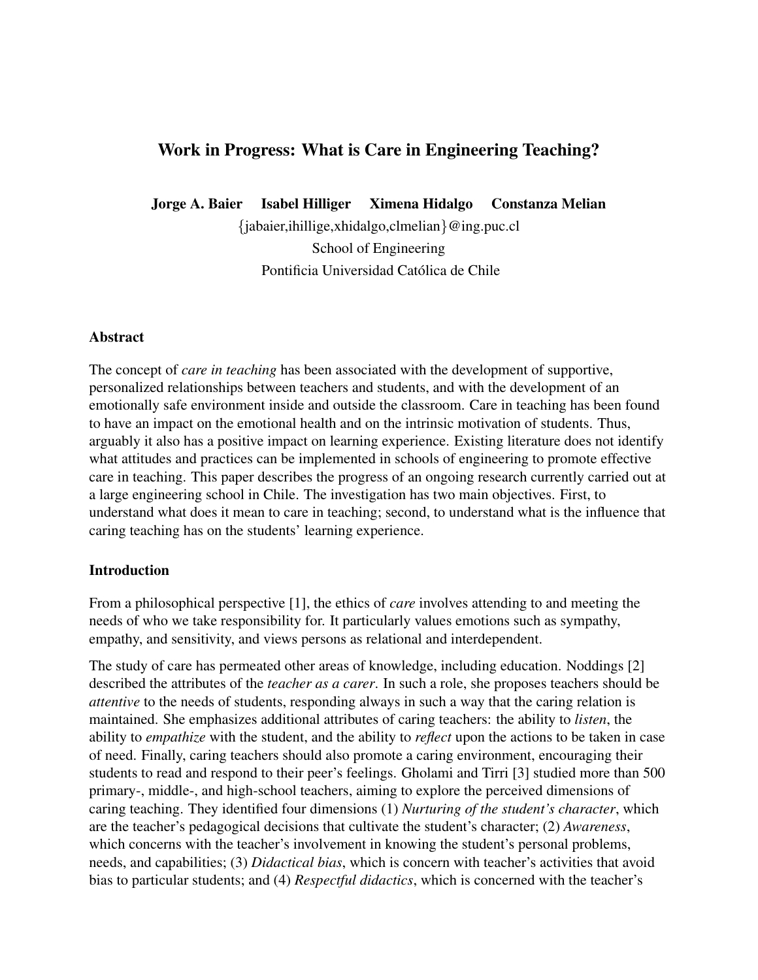# Work in Progress: What is Care in Engineering Teaching?

Jorge A. Baier Isabel Hilliger Ximena Hidalgo Constanza Melian

{jabaier,ihillige,xhidalgo,clmelian}@ing.puc.cl School of Engineering Pontificia Universidad Católica de Chile

## Abstract

The concept of *care in teaching* has been associated with the development of supportive, personalized relationships between teachers and students, and with the development of an emotionally safe environment inside and outside the classroom. Care in teaching has been found to have an impact on the emotional health and on the intrinsic motivation of students. Thus, arguably it also has a positive impact on learning experience. Existing literature does not identify what attitudes and practices can be implemented in schools of engineering to promote effective care in teaching. This paper describes the progress of an ongoing research currently carried out at a large engineering school in Chile. The investigation has two main objectives. First, to understand what does it mean to care in teaching; second, to understand what is the influence that caring teaching has on the students' learning experience.

## Introduction

From a philosophical perspective [1], the ethics of *care* involves attending to and meeting the needs of who we take responsibility for. It particularly values emotions such as sympathy, empathy, and sensitivity, and views persons as relational and interdependent.

The study of care has permeated other areas of knowledge, including education. Noddings [2] described the attributes of the *teacher as a carer*. In such a role, she proposes teachers should be *attentive* to the needs of students, responding always in such a way that the caring relation is maintained. She emphasizes additional attributes of caring teachers: the ability to *listen*, the ability to *empathize* with the student, and the ability to *reflect* upon the actions to be taken in case of need. Finally, caring teachers should also promote a caring environment, encouraging their students to read and respond to their peer's feelings. Gholami and Tirri [3] studied more than 500 primary-, middle-, and high-school teachers, aiming to explore the perceived dimensions of caring teaching. They identified four dimensions (1) *Nurturing of the student's character*, which are the teacher's pedagogical decisions that cultivate the student's character; (2) *Awareness*, which concerns with the teacher's involvement in knowing the student's personal problems, needs, and capabilities; (3) *Didactical bias*, which is concern with teacher's activities that avoid bias to particular students; and (4) *Respectful didactics*, which is concerned with the teacher's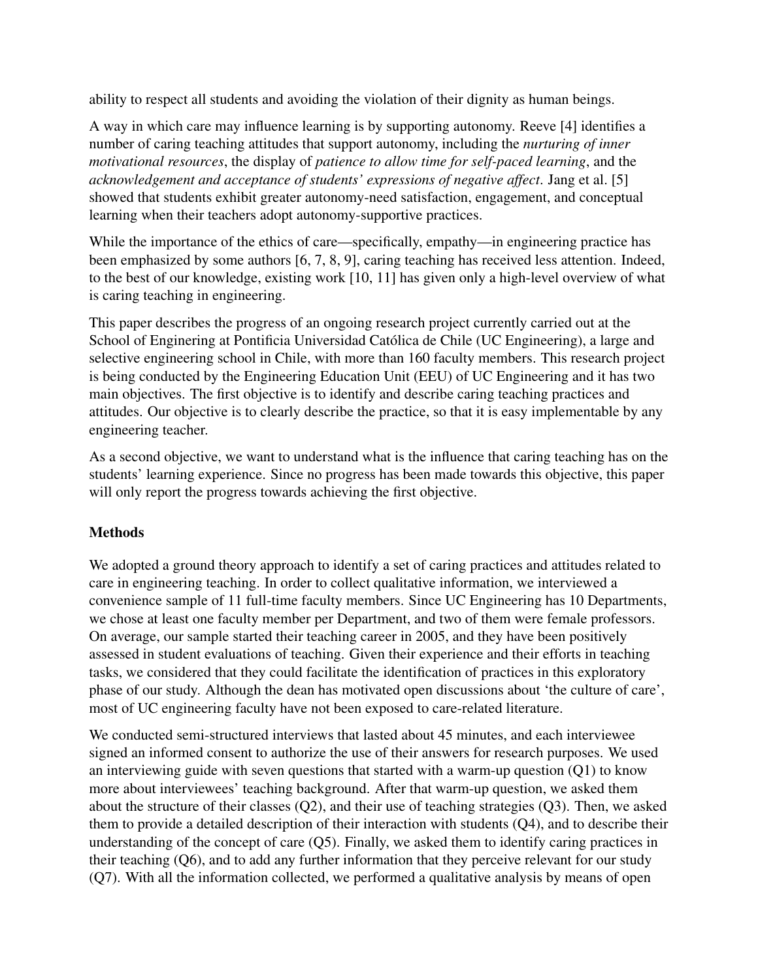ability to respect all students and avoiding the violation of their dignity as human beings.

A way in which care may influence learning is by supporting autonomy. Reeve [4] identifies a number of caring teaching attitudes that support autonomy, including the *nurturing of inner motivational resources*, the display of *patience to allow time for self-paced learning*, and the *acknowledgement and acceptance of students' expressions of negative affect*. Jang et al. [5] showed that students exhibit greater autonomy-need satisfaction, engagement, and conceptual learning when their teachers adopt autonomy-supportive practices.

While the importance of the ethics of care—specifically, empathy—in engineering practice has been emphasized by some authors [6, 7, 8, 9], caring teaching has received less attention. Indeed, to the best of our knowledge, existing work [10, 11] has given only a high-level overview of what is caring teaching in engineering.

This paper describes the progress of an ongoing research project currently carried out at the School of Enginering at Pontificia Universidad Católica de Chile (UC Engineering), a large and selective engineering school in Chile, with more than 160 faculty members. This research project is being conducted by the Engineering Education Unit (EEU) of UC Engineering and it has two main objectives. The first objective is to identify and describe caring teaching practices and attitudes. Our objective is to clearly describe the practice, so that it is easy implementable by any engineering teacher.

As a second objective, we want to understand what is the influence that caring teaching has on the students' learning experience. Since no progress has been made towards this objective, this paper will only report the progress towards achieving the first objective.

# Methods

We adopted a ground theory approach to identify a set of caring practices and attitudes related to care in engineering teaching. In order to collect qualitative information, we interviewed a convenience sample of 11 full-time faculty members. Since UC Engineering has 10 Departments, we chose at least one faculty member per Department, and two of them were female professors. On average, our sample started their teaching career in 2005, and they have been positively assessed in student evaluations of teaching. Given their experience and their efforts in teaching tasks, we considered that they could facilitate the identification of practices in this exploratory phase of our study. Although the dean has motivated open discussions about 'the culture of care', most of UC engineering faculty have not been exposed to care-related literature.

We conducted semi-structured interviews that lasted about 45 minutes, and each interviewee signed an informed consent to authorize the use of their answers for research purposes. We used an interviewing guide with seven questions that started with a warm-up question (Q1) to know more about interviewees' teaching background. After that warm-up question, we asked them about the structure of their classes (Q2), and their use of teaching strategies (Q3). Then, we asked them to provide a detailed description of their interaction with students (Q4), and to describe their understanding of the concept of care (Q5). Finally, we asked them to identify caring practices in their teaching (Q6), and to add any further information that they perceive relevant for our study (Q7). With all the information collected, we performed a qualitative analysis by means of open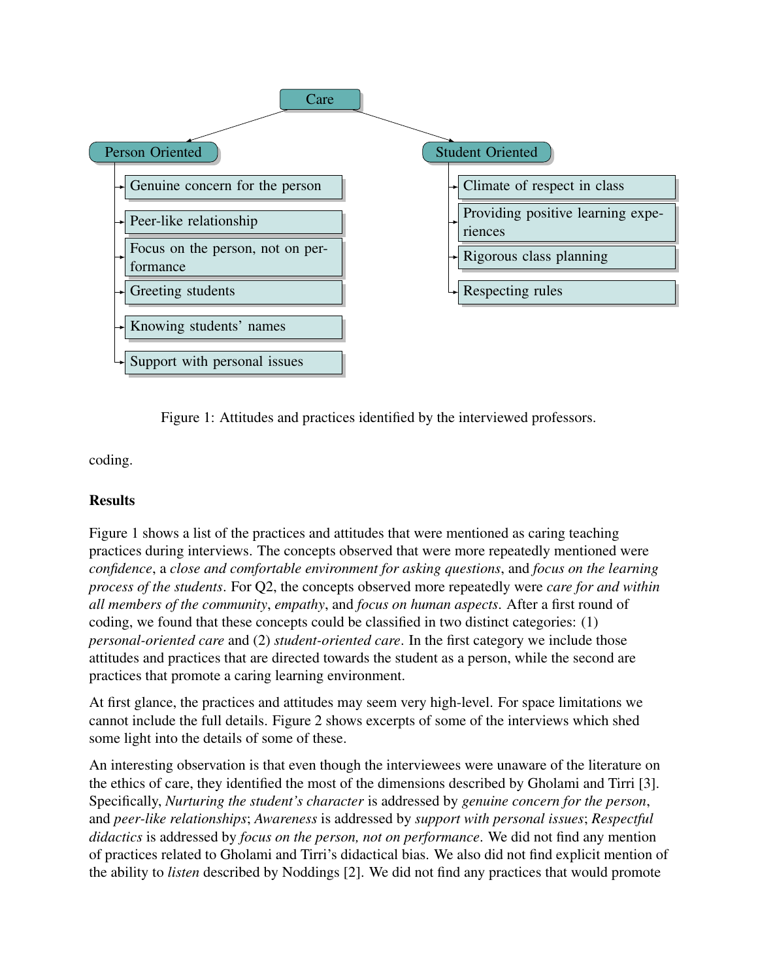

Figure 1: Attitudes and practices identified by the interviewed professors.

coding.

# **Results**

Figure 1 shows a list of the practices and attitudes that were mentioned as caring teaching practices during interviews. The concepts observed that were more repeatedly mentioned were *confidence*, a *close and comfortable environment for asking questions*, and *focus on the learning process of the students*. For Q2, the concepts observed more repeatedly were *care for and within all members of the community*, *empathy*, and *focus on human aspects*. After a first round of coding, we found that these concepts could be classified in two distinct categories: (1) *personal-oriented care* and (2) *student-oriented care*. In the first category we include those attitudes and practices that are directed towards the student as a person, while the second are practices that promote a caring learning environment.

At first glance, the practices and attitudes may seem very high-level. For space limitations we cannot include the full details. Figure 2 shows excerpts of some of the interviews which shed some light into the details of some of these.

An interesting observation is that even though the interviewees were unaware of the literature on the ethics of care, they identified the most of the dimensions described by Gholami and Tirri [3]. Specifically, *Nurturing the student's character* is addressed by *genuine concern for the person*, and *peer-like relationships*; *Awareness* is addressed by *support with personal issues*; *Respectful didactics* is addressed by *focus on the person, not on performance*. We did not find any mention of practices related to Gholami and Tirri's didactical bias. We also did not find explicit mention of the ability to *listen* described by Noddings [2]. We did not find any practices that would promote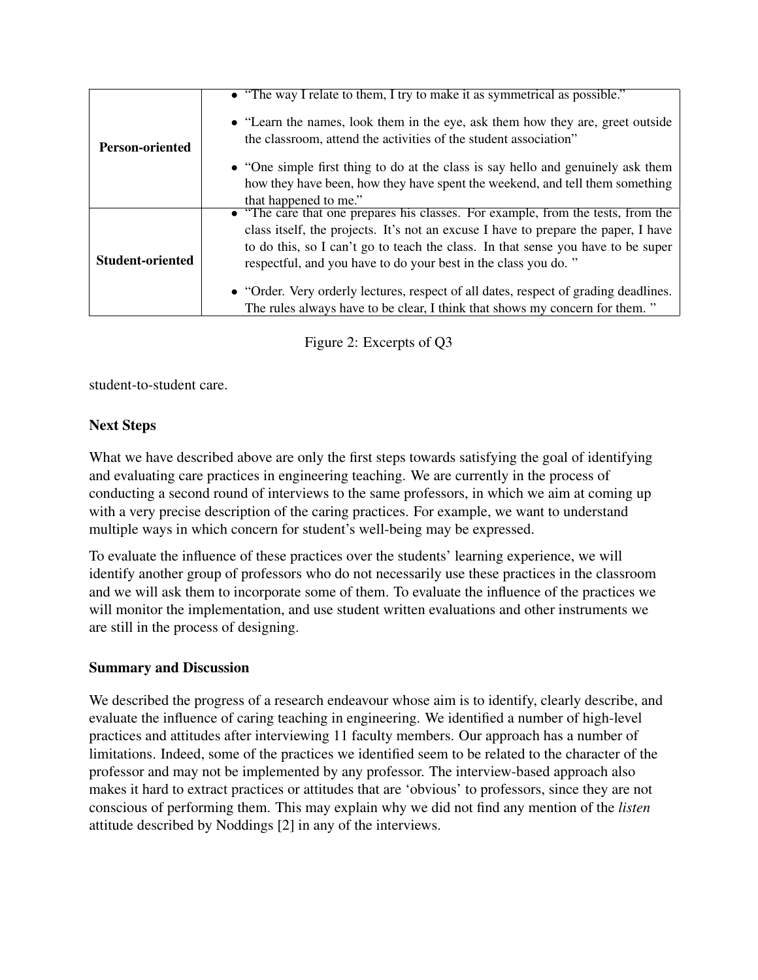|                         | • "The way I relate to them, I try to make it as symmetrical as possible."           |
|-------------------------|--------------------------------------------------------------------------------------|
|                         |                                                                                      |
|                         | • "Learn the names, look them in the eye, ask them how they are, greet outside       |
| <b>Person-oriented</b>  | the classroom, attend the activities of the student association"                     |
|                         | • "One simple first thing to do at the class is say hello and genuinely ask them     |
|                         | how they have been, how they have spent the weekend, and tell them something         |
|                         | that happened to me."                                                                |
|                         | • "The care that one prepares his classes. For example, from the tests, from the     |
|                         | class itself, the projects. It's not an excuse I have to prepare the paper, I have   |
|                         | to do this, so I can't go to teach the class. In that sense you have to be super     |
| <b>Student-oriented</b> | respectful, and you have to do your best in the class you do."                       |
|                         | • "Order. Very orderly lectures, respect of all dates, respect of grading deadlines. |
|                         | The rules always have to be clear, I think that shows my concern for them."          |

Figure 2: Excerpts of Q3

student-to-student care.

# Next Steps

What we have described above are only the first steps towards satisfying the goal of identifying and evaluating care practices in engineering teaching. We are currently in the process of conducting a second round of interviews to the same professors, in which we aim at coming up with a very precise description of the caring practices. For example, we want to understand multiple ways in which concern for student's well-being may be expressed.

To evaluate the influence of these practices over the students' learning experience, we will identify another group of professors who do not necessarily use these practices in the classroom and we will ask them to incorporate some of them. To evaluate the influence of the practices we will monitor the implementation, and use student written evaluations and other instruments we are still in the process of designing.

# Summary and Discussion

We described the progress of a research endeavour whose aim is to identify, clearly describe, and evaluate the influence of caring teaching in engineering. We identified a number of high-level practices and attitudes after interviewing 11 faculty members. Our approach has a number of limitations. Indeed, some of the practices we identified seem to be related to the character of the professor and may not be implemented by any professor. The interview-based approach also makes it hard to extract practices or attitudes that are 'obvious' to professors, since they are not conscious of performing them. This may explain why we did not find any mention of the *listen* attitude described by Noddings [2] in any of the interviews.